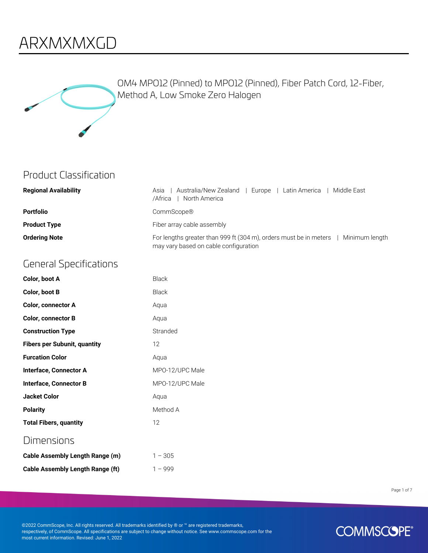### ARXMXMXGD



OM4 MPO12 (Pinned) to MPO12 (Pinned), Fiber Patch Cord, 12-Fiber, Method A, Low Smoke Zero Halogen

#### Product Classification

| <b>Regional Availability</b> | Australia/New Zealand  <br>l - Middle East-<br>  Europe   Latin America  <br>Asia<br>/Africa<br>North America                         |
|------------------------------|---------------------------------------------------------------------------------------------------------------------------------------|
| <b>Portfolio</b>             | CommScope®                                                                                                                            |
| <b>Product Type</b>          | Fiber array cable assembly                                                                                                            |
| <b>Ordering Note</b>         | For lengths greater than 999 ft (304 m), orders must be in meters $\parallel$ Minimum length<br>may vary based on cable configuration |

#### General Specifications

| Color, boot A                       | Black           |
|-------------------------------------|-----------------|
| Color, boot B                       | Black           |
| <b>Color, connector A</b>           | Aqua            |
| <b>Color, connector B</b>           | Aqua            |
| <b>Construction Type</b>            | Stranded        |
| <b>Fibers per Subunit, quantity</b> | 12              |
| <b>Furcation Color</b>              | Aqua            |
| Interface, Connector A              | MPO-12/UPC Male |
| <b>Interface, Connector B</b>       | MPO-12/UPC Male |
| <b>Jacket Color</b>                 | Aqua            |
| <b>Polarity</b>                     | Method A        |
| <b>Total Fibers, quantity</b>       | 12              |
| Dimensions                          |                 |
| Cable Assembly Length Range (m)     | $1 - 305$       |

**Cable Assembly Length Range (ft)** 1 – 999

Page 1 of 7

©2022 CommScope, Inc. All rights reserved. All trademarks identified by ® or ™ are registered trademarks, respectively, of CommScope. All specifications are subject to change without notice. See www.commscope.com for the most current information. Revised: June 1, 2022

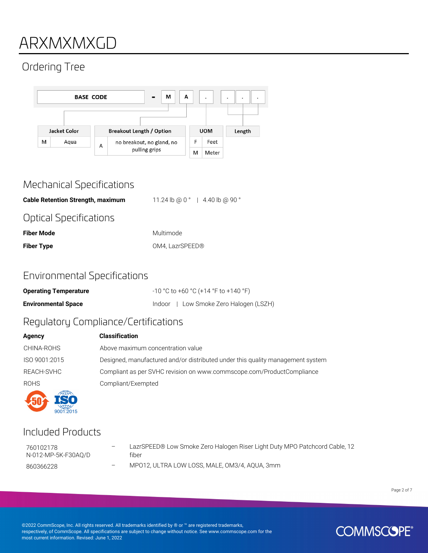### ARXMXMXGD

### Ordering Tree



#### Mechanical Specifications

**Cable Retention Strength, maximum** 11.24 lb @ 0 ° | 4.40 lb @ 90 ° Optical Specifications

| <b>Fiber Mode</b> | Multimode       |
|-------------------|-----------------|
| <b>Fiber Type</b> | OM4, LazrSPEED® |

#### Environmental Specifications

| <b>Operating Temperature</b> | $-10$ °C to +60 °C (+14 °F to +140 °F) |
|------------------------------|----------------------------------------|
| <b>Environmental Space</b>   | Indoor   Low Smoke Zero Halogen (LSZH) |

#### Regulatory Compliance/Certifications

| Agency        | <b>Classification</b>                                                          |
|---------------|--------------------------------------------------------------------------------|
| CHINA-ROHS    | Above maximum concentration value                                              |
| ISO 9001:2015 | Designed, manufactured and/or distributed under this quality management system |
| REACH-SVHC    | Compliant as per SVHC revision on www.commscope.com/ProductCompliance          |
| <b>ROHS</b>   | Compliant/Exempted                                                             |
|               |                                                                                |

#### Included Products

 $9001:2015$ 

760102178 N-012-MP-5K-F30AQ/D LazrSPEED® Low Smoke Zero Halogen Riser Light Duty MPO Patchcord Cable, 12 fiber

860366228 – MPO12, ULTRA LOW LOSS, MALE, OM3/4, AQUA, 3mm

Page 2 of 7

©2022 CommScope, Inc. All rights reserved. All trademarks identified by ® or ™ are registered trademarks, respectively, of CommScope. All specifications are subject to change without notice. See www.commscope.com for the most current information. Revised: June 1, 2022

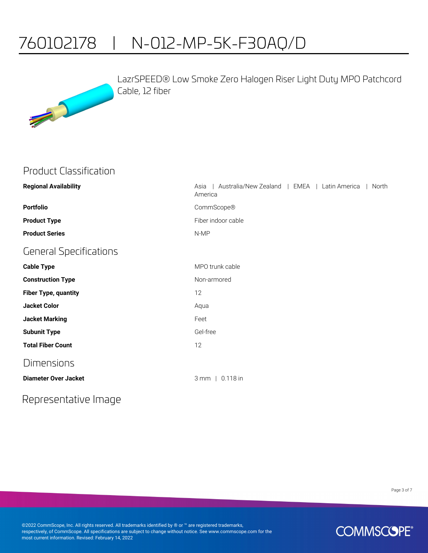## 760102178 | N-012-MP-5K-F30AQ/D



LazrSPEED® Low Smoke Zero Halogen Riser Light Duty MPO Patchcord Cable, 12 fiber

#### Product Classification

| <b>Regional Availability</b>  | Australia/New Zealand   EMEA<br>  Latin America<br>North<br>Asia<br>America |
|-------------------------------|-----------------------------------------------------------------------------|
| <b>Portfolio</b>              | CommScope®                                                                  |
| <b>Product Type</b>           | Fiber indoor cable                                                          |
| <b>Product Series</b>         | N-MP                                                                        |
| <b>General Specifications</b> |                                                                             |
| <b>Cable Type</b>             | MPO trunk cable                                                             |
| <b>Construction Type</b>      | Non-armored                                                                 |
| <b>Fiber Type, quantity</b>   | 12                                                                          |
| <b>Jacket Color</b>           | Aqua                                                                        |
| <b>Jacket Marking</b>         | Feet                                                                        |
| <b>Subunit Type</b>           | Gel-free                                                                    |
| <b>Total Fiber Count</b>      | 12                                                                          |
| <b>Dimensions</b>             |                                                                             |
| <b>Diameter Over Jacket</b>   | 3 mm   0.118 in                                                             |

Representative Image

Page 3 of 7

©2022 CommScope, Inc. All rights reserved. All trademarks identified by ® or ™ are registered trademarks, respectively, of CommScope. All specifications are subject to change without notice. See www.commscope.com for the most current information. Revised: February 14, 2022

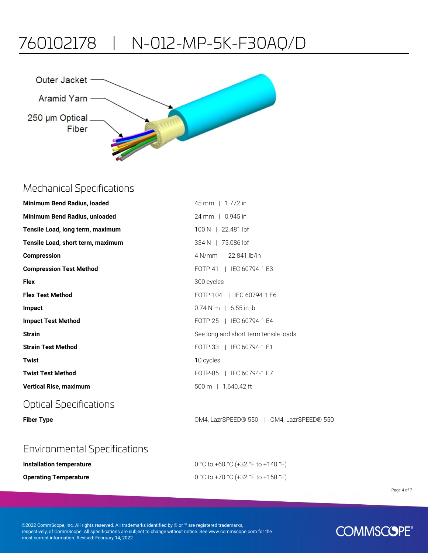### 760102178 | N-012-MP-5K-F30AQ/D



#### Mechanical Specifications

| Minimum Bend Radius, loaded       | 45 mm   1.772 in                          |
|-----------------------------------|-------------------------------------------|
| Minimum Bend Radius, unloaded     | 24 mm   0.945 in                          |
| Tensile Load, long term, maximum  | 100 N   22.481 lbf                        |
| Tensile Load, short term, maximum | 334 N   75.086 lbf                        |
| <b>Compression</b>                | 4 N/mm   22.841 lb/in                     |
| <b>Compression Test Method</b>    | FOTP-41   IEC 60794-1 E3                  |
| <b>Flex</b>                       | 300 cycles                                |
| <b>Flex Test Method</b>           | FOTP-104   IEC 60794-1 E6                 |
| Impact                            | $0.74$ N-m   6.55 in lb                   |
| <b>Impact Test Method</b>         | FOTP-25   IEC 60794-1 E4                  |
| <b>Strain</b>                     | See long and short term tensile loads     |
| <b>Strain Test Method</b>         | FOTP-33   IEC 60794-1 E1                  |
| <b>Twist</b>                      | 10 cycles                                 |
| <b>Twist Test Method</b>          | FOTP-85   IEC 60794-1 E7                  |
| <b>Vertical Rise, maximum</b>     | 500 m 1 1.640.42 ft                       |
| Optical Specifications            |                                           |
| <b>Fiber Type</b>                 | OM4, LazrSPEED® 550   OM4, LazrSPEED® 550 |

#### Environmental Specifications

| Installation temperature     | 0 °C to +60 °C (+32 °F to +140 °F) |
|------------------------------|------------------------------------|
| <b>Operating Temperature</b> | 0 °C to +70 °C (+32 °F to +158 °F) |

Page 4 of 7

©2022 CommScope, Inc. All rights reserved. All trademarks identified by ® or ™ are registered trademarks, respectively, of CommScope. All specifications are subject to change without notice. See www.commscope.com for the most current information. Revised: February 14, 2022

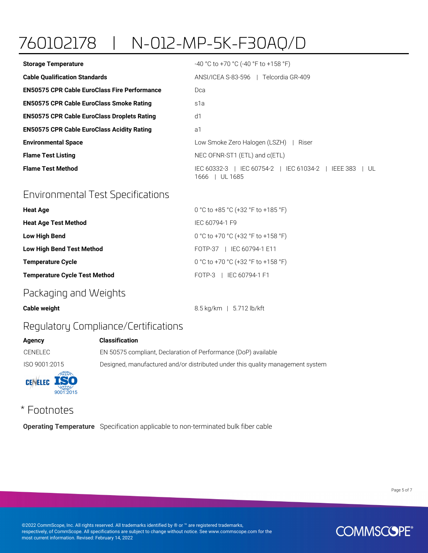# 760102178 | N-012-MP-5K-F30AQ/D

| <b>Storage Temperature</b>                          | $-40$ °C to +70 °C (-40 °F to +158 °F)                                           |
|-----------------------------------------------------|----------------------------------------------------------------------------------|
| <b>Cable Qualification Standards</b>                | ANSI/ICEA S-83-596   Telcordia GR-409                                            |
| <b>EN50575 CPR Cable EuroClass Fire Performance</b> | Dca                                                                              |
| <b>EN50575 CPR Cable EuroClass Smoke Rating</b>     | s1a                                                                              |
| <b>EN50575 CPR Cable EuroClass Droplets Rating</b>  | d1                                                                               |
| <b>EN50575 CPR Cable EuroClass Acidity Rating</b>   | a1                                                                               |
| <b>Environmental Space</b>                          | Low Smoke Zero Halogen (LSZH)  <br>Riser                                         |
| <b>Flame Test Listing</b>                           | NEC OFNR-ST1 (ETL) and c(ETL)                                                    |
| <b>Flame Test Method</b>                            | IEC 60332-3   IEC 60754-2   IEC 61034-2  <br>IEEE 383<br>UL<br>1666 I<br>UL 1685 |

#### Environmental Test Specifications

| <b>Heat Age</b>                      | 0 °C to +85 °C (+32 °F to +185 °F) |
|--------------------------------------|------------------------------------|
| <b>Heat Age Test Method</b>          | IFC 60794-1 F9                     |
| <b>Low High Bend</b>                 | 0 °C to +70 °C (+32 °F to +158 °F) |
| <b>Low High Bend Test Method</b>     | FOTP-37   IEC 60794-1 E11          |
| <b>Temperature Cycle</b>             | 0 °C to +70 °C (+32 °F to +158 °F) |
| <b>Temperature Cycle Test Method</b> | FOTP-3   IEC 60794-1 F1            |
|                                      |                                    |

#### Packaging and Weights

|  | <b>Cable weight</b> |
|--|---------------------|
|  |                     |

**Agency** 

**Cable weight** 8.5 kg/km | 5.712 lb/kft

#### Regulatory Compliance/Certifications

| Agency             | <b>Classification</b>                                                          |
|--------------------|--------------------------------------------------------------------------------|
| CENELEC            | EN 50575 compliant, Declaration of Performance (DoP) available                 |
| ISO 9001:2015      | Designed, manufactured and/or distributed under this quality management system |
| <b>CENELEC ISO</b> |                                                                                |

#### \* Footnotes

 $9001:2015$ 

**Operating Temperature** Specification applicable to non-terminated bulk fiber cable

Page 5 of 7

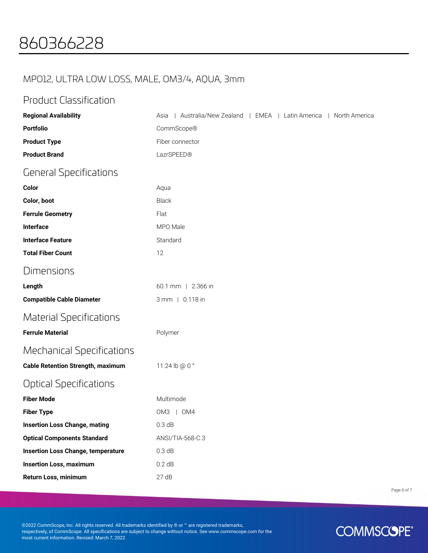### MPO12, ULTRA LOW LOSS, MALE, OM3/4, AQUA, 3mm

#### Product Classification

| <b>Regional Availability</b>              | Australia/New Zealand   EMEA   Latin America   North America<br>Asia |
|-------------------------------------------|----------------------------------------------------------------------|
| <b>Portfolio</b>                          | CommScope®                                                           |
| <b>Product Type</b>                       | Fiber connector                                                      |
| <b>Product Brand</b>                      | LazrSPEED®                                                           |
| <b>General Specifications</b>             |                                                                      |
| Color                                     | Aqua                                                                 |
| Color, boot                               | Black                                                                |
| <b>Ferrule Geometry</b>                   | Flat                                                                 |
| Interface                                 | MPO Male                                                             |
| <b>Interface Feature</b>                  | Standard                                                             |
| <b>Total Fiber Count</b>                  | 12                                                                   |
| Dimensions                                |                                                                      |
| Length                                    | 60.1 mm   2.366 in                                                   |
| <b>Compatible Cable Diameter</b>          | 3 mm   0.118 in                                                      |
| <b>Material Specifications</b>            |                                                                      |
| <b>Ferrule Material</b>                   | Polymer                                                              |
| <b>Mechanical Specifications</b>          |                                                                      |
| <b>Cable Retention Strength, maximum</b>  | 11.24 lb @ 0 °                                                       |
| <b>Optical Specifications</b>             |                                                                      |
| <b>Fiber Mode</b>                         | Multimode                                                            |
| <b>Fiber Type</b>                         | OM3   OM4                                                            |
| <b>Insertion Loss Change, mating</b>      | 0.3 dB                                                               |
| <b>Optical Components Standard</b>        | ANSI/TIA-568-C.3                                                     |
| <b>Insertion Loss Change, temperature</b> | 0.3 dB                                                               |
| <b>Insertion Loss, maximum</b>            | 0.2 dB                                                               |
| Return Loss, minimum                      | 27dB                                                                 |

Page 6 of 7

©2022 CommScope, Inc. All rights reserved. All trademarks identified by ® or ™ are registered trademarks, respectively, of CommScope. All specifications are subject to change without notice. See www.commscope.com for the most current information. Revised: March 7, 2022